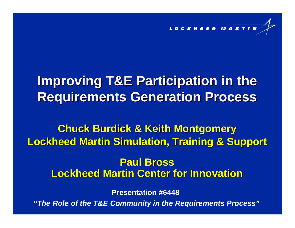

# **Improving T&E Participation in the Requirements Generation Process**

**Chuck Burdick & Keith Montgomery Chuck Burdick & Keith Montgomery Lockheed Martin Simulation, Training & Support Lockheed Martin Simulation, Training & Support**

### **Lockheed Martin Center for Innovation Lockheed Martin Center for InnovationPaul Bross Paul Bross**

**Presentation #6448**

*"The Role of the T&E Community in the Requirements Process"*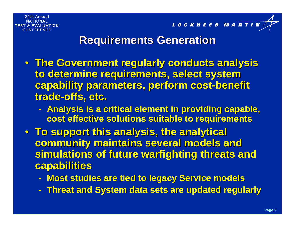LOCKHEED MARTI

### **Requirements Generation Requirements Generation**

- **The Government regularly conducts analysis The Government regularly conducts analysis**  to determine requirements, select system **capability parameters, perform cost-benefit** trade-offs, etc.
	- $\mathcal{L}_{\mathcal{A}}$ - Analysis is a critical element in providing capable, **cost effective solutions suitable to requirements cost effective solutions suitable to requirements**
- **To support this analysis, the analytical To support this analysis, the analytical community maintains several models and simulations of future warfighting threats and simulations of future warfighting threats and capabilities capabilities**
	- $\mathcal{L}_{\mathcal{A}}$ **Most studies are tied to legacy Service models Most studies are tied to legacy Service models**
	- -**Threat and System data sets are updated regularly Threat and System data sets are updated regularly**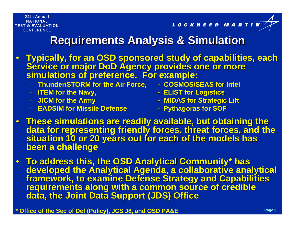LOCKHEED MART

### **Requirements Analysis & Simulation Requirements Analysis & Simulation**

- Typically, for an OSD sponsored study of capabilities, each<br>Service or major DoD Agency provides one or more<br>simulations of preference. For example:
	- **Thunder/STORM for the Air Force, Thunder/STORM for the Air Force, - COSMOS/SEAS for Intel COSMOS/SEAS for Intel**
	-
	- JICM for the Army
	- **EADSIM for Missile Defense EADSIM for Missile Defense**
- 
- **ITEM for the Navy, ITEM for the Navy, - ELIST for Logistics ELIST for Logistics**
	- **MIDAS for Strategic Lift**
	- **- Pythagoras for SOF Pythagoras for SOF**
- These simulations are readily available, but obtaining the data for representing friendly forces, threat forces, and the<br>situation 10 or 20 years out for each of the models has<br>been a challenge
- To address this, the OSD Analytical Community\* has developed the Analytical Agenda, a collaborative analytical<br>framework, to examine Defense Strategy and Capabilities<br>requirements along with a common source of credible<br>data, the Joint Data Support (JDS) Office
- **\* Office of the Sec of Def (Policy), JCS J8, and OSD PA&E**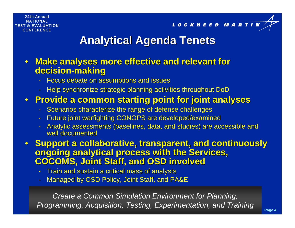LOCKHEED MARTIN

## **Analytical Agenda Tenets Analytical Agenda Tenets**

### • Make analyses more effective and relevant for **decision decision-making**

- Focus debate on assumptions and issues
- Help synchronize strategic planning activities throughout DoD

### • **Provide a common starting point for joint analyses Provide a common starting point for joint analyses**

- Scenarios characterize the range of defense challenges
- Future joint warfighting CONOPS are developed/examined
- Analytic assessments (baselines, data, and studies) are accessible and well documented

• **Support a collaborative, transparent, and continuously Support a collaborative, transparent, and continuously ongoing analytical process with the Services, COCOMS, Joint Staff, and OSD involved COCOMS, Joint Staff, and OSD involved**

- $\,$  Train and sustain a critical mass of analysts
- Managed by OSD Policy, Joint Staff, and PA&E

*Create a Common Simulation Environment for Planning, Programming, Acquisition, Testing, Experimentation, and Training*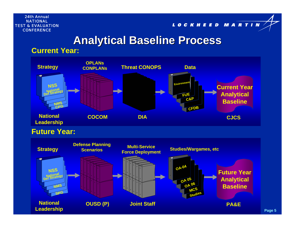LOCKHEED MARTIN

### **Analytical Baseline Process Analytical Baseline Process**

### **Current Year:**



**Future Year:**

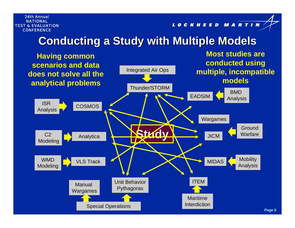LOCKHEED MARTIN

### **Conducting a Study with Multiple Models**

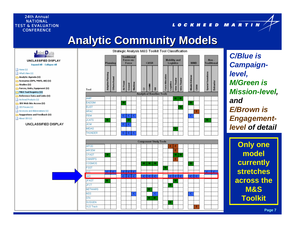LOCKHEED MARTIN

### **Analytic Community Models Analytic Community Models**



*C/Blue is Campaignlevel, M/Green is Mission-level, andE/Brown is Engagementlevel of detail*

> **Only one model currently stretches across the M&S Toolkit**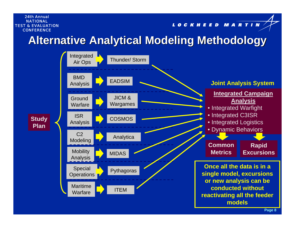#### LOCKHEED MARTIN

## **Alternative Analytical Modeling Methodology Alternative Analytical Modeling Methodology**

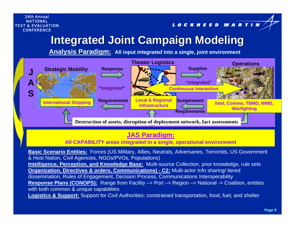LOCKHEED MARTIN

## **Integrated Joint Campaign Modeling Integrated Joint Campaign Modeling**

**Analysis Paradigm: All input** *integrated* **into a single, joint environment**



### **JAS Paradigm:**

**All CAPABILITY areas** *integrated* **in a single, operational environment**

**Basic Scenario Entities:** Forces (US Military, Allies, Neutrals, Adversaries, Terrorists, US Government & Host Nation, Civil Agencies, NGOs/PVOs, Populations) **Intelligence, Perception, and Knowledge Base:** Multi-source Collection, prior knowledge, rule sets **Organization, Directives & orders, Communications) - C2:** Multi-actor Info sharing/ tiered dissemination, Rules of Engagement, Decision Process, Communications Interoperability **Response Plans (CONOPS):** Range from Facility –> Port –> Region –> National -> Coalition, entities with both common & unique capabilities **Logistics & Support:** Support for Civil Authorities; constrained transportation, food, fuel, and shelter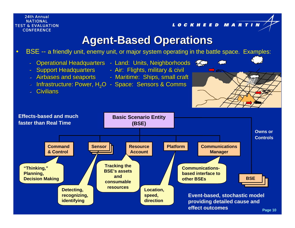LOCKHEED MARTIN

### **Agent-Based Operations**

•BSE -- a friendly unit, enemy unit, or major system operating in the battle space. Examples:

- -Operational Headquarters - Land: Units, Neighborhoods Land:
	-
- Support Headquarters Air: Flights, military & civil
	- Airbases and seaports Maritime: Ships, small craft
- -Infrastructure: Power,  $H_2O$  - Space: Sensors & Comms
- -- Civilians

-



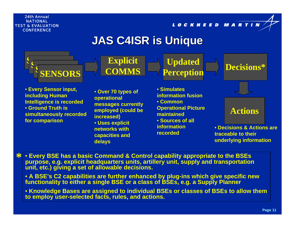LOCKHEED MARTIN

## **JAS C4ISR is Unique JAS C4ISR is Unique**



• **Every Sensor input, including Human Intelligence is recorded** • **Ground Truth is simultaneously recorded for comparison**

• **Over 70 types of operational messages currently employed (could be increased)**

• **Uses explicit networks with capacities and delays**

• **Simulates information fusion**• **Common Operational Picture maintained**• **Sources of all information recorded**

**Explicit**<br> **Explicit**<br> **Perception Perception Actions**

> • **Decisions & Actions are traceable to their underlying information**

• **Every BSE has a basic Command & Control capability appropriate to the BSEs purpose, e.g. explicit headquarters units, artillery unit, supply and transportation unit, etc.) giving a set of allowable decisions. \***

• **A BSE's C2 capabilities are further enhanced by plug-ins which give specific new functionality to either a single BSE or a class of BSEs, e.g. a Supply Planner**

• **Knowledge Bases are assigned to individual BSEs or classes of BSEs to allow them to employ user-selected facts, rules, and actions.**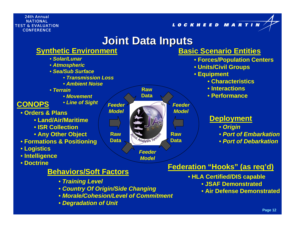LOCKHEED MARTIN

### **Joint Data Inputs Joint Data Inputs**



### **Behaviors/Soft Factors**

- *Training Level*
- *Country Of Origin/Side Changing*
- *Morale/Cohesion/Level of Commitment*
- *Degradation of Unit*

- **HLA Certified/DIS capable**
	- **JSAF Demonstrated**
	- **Air Defense Demonstrated**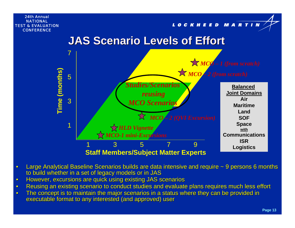#### LOCKHEED MARTIN





- •Large Analytical Baseline Scenarios builds are data intensive and require ~ 9 persons 6 months to build whether in a set of legacy models or in JAS
- •However, excursions are quick using existing JAS scenarios
- •Reusing an existing scenario to conduct studies and evaluate plans requires much less effort
- •The concept is to maintain the major scenarios in a status where they can be provided in executable format to any interested (and approved) user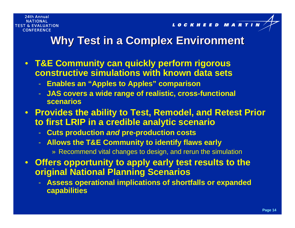LOCKHEED MART

### **Why Test in a Complex Environment Why Test in a Complex Environment**

- **T&E Community can quickly perform rigorous constructive simulations with known data sets**
	- **Enables an "Apples to Apples" comparison**
	- **JAS covers a wide range of realistic, cross-functional scenarios**
- **Provides the ability to Test, Remodel, and Retest Prior to first LRIP in a credible analytic scenario**
	- **Cuts production** *and* **pre-production costs**
	- **Allows the T&E Community to identify flaws early**
		- » Recommend vital changes to design, and rerun the simulation
- **Offers opportunity to apply early test results to the original National Planning Scenarios**
	- **Assess operational implications of shortfalls or expanded capabilities**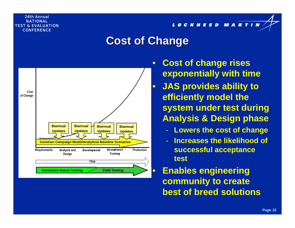LOCKHEED MARTIN

### **Cost of Change Cost of Change**



 **Cost of change rises exponentially with time**

 **JAS provides ability to efficiently model the system under test during Analysis & Design phase**

- **Lowers the cost of change**
- **Increases the likelihood of successful acceptance test**

 **Enables engineering community to create best of breed solutions**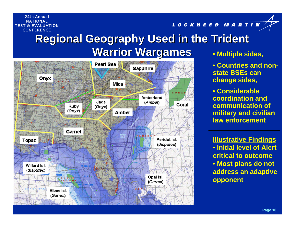# **Regional Geography Used in the Trident Warrior Wargames** • **Multiple sides,**



LOCKHEED MARTIN

• **Countries and nonstate BSEs can change sides,**

• **Considerable coordination and communication of military and civilian law enforcement**

**Illustrative Findings** • **Initial level of Alert critical to outcome**• **Most plans do not address an adaptive opponent**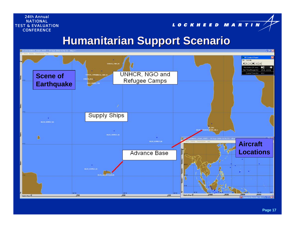LOCKHEED MARTIN

### **Humanitarian Support Scenario Humanitarian Support Scenario**

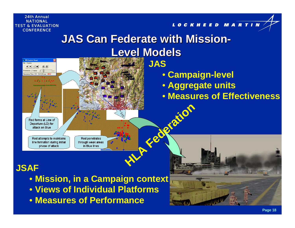#### LOCKHEED MARTIN

# **JAS Can Federate with Mission JAS Can Federate with Mission-Level Models**



### **JSAF**

- **Mission, in a Campaign context**
- **Views of Individual Platforms**
- **Measures of Performance**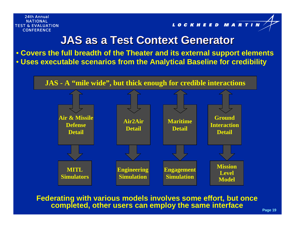LOCKHEED MARTIN

### **JAS as a Test Context Generator JAS as a Test Context Generator**

• **Covers the full breadth of the Theater and its external support elements** • **Uses executable scenarios from the Analytical Baseline for credibility**



**Federating with various models involves some effort, but once completed, other users can employ the same interface**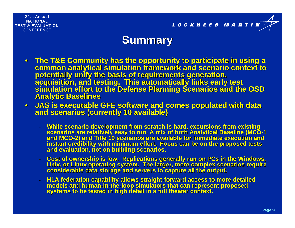

### **Summary Summary**

- The T&E Community has the opportunity to participate in using a  $\,$ common analytical simulation framework and scenario context to<br>potentially unify the basis of requirements generation,<br>acquisition, and testing. This automatically links early test<br>simulation effort to the Defense Planning
- $\bullet$  **JAS is executable GFE software and comes populated with data JAS is executable GFE software and comes populated with data and scenarios (currently 10 available) and scenarios (currently 10 available)**
	- While scenario development from scratch is hard, excursions from existing<br>scenarios are relatively easy to run. A mix of both Analytical Baseline (MCO-1<br>and MCO-2) and Title 10 scenarios are available for immediate executi instant credibility with minimum effort. Focus can be on the proposed tests<br>and evaluation, not on building scenarios.
	- Cost of ownership is low. Replications generally run on PCs in the Windows,<br>Unix, or Linux operating system. The larger, more complex scenarios require<br>considerable data storage and servers to capture all the output.
	- HLA federation capability allows straight-forward access to more detailed **HLA federation capability allows straight HLA federation capability allows straight-forward access to more detailed forward access to more detailed models and human**models and human-in-the-loop simulators that can represent proposed<br>systems to be tested in high detail in a full theater context.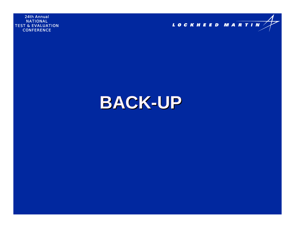

# **BACK-UP**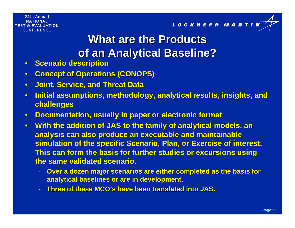# **What are the Products What are the Productsof an Analytical Baseline? of an Analytical Baseline?**

- •**Scenario description Scenario description**
- •**Concept of Operations (CONOPS)**
- •**Joint, Service, and Threat Data Joint, Service, and Threat Data**
- •**Initial assumptions, methodology, analytical results, insights, and challenges challenges**
- •**Documentation, usually in paper or electronic format**
- $\bullet$ • With the addition of JAS to the family of analytical models, an **analysis can also produce an executable and maintainable simulation of the specific Scenario, Plan, or Exercise of interest. This can form the basis for further studies or excursions using the same validated scenario. the same validated scenario.**
	- **Over a dozen major scenarios are either completed as the basis for analytical baselines or are in development. analytical baselines or are in development.**
	- **Three of these MCO Three of these MCO's have been translated into JAS. s have been translated into JAS.**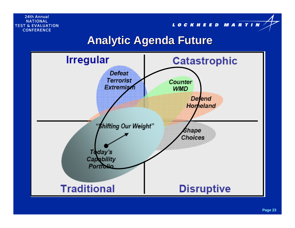LOCKHEED MARTIN

### **Analytic Agenda Future Analytic Agenda Future**

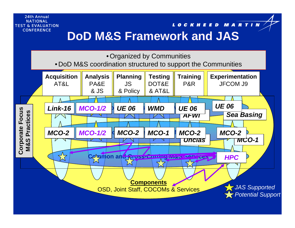### LOCKHEED MARTIN **DoD M&S Framework and JAS**

• Organized by Communities

• DoD M&S coordination structured to support the Communities